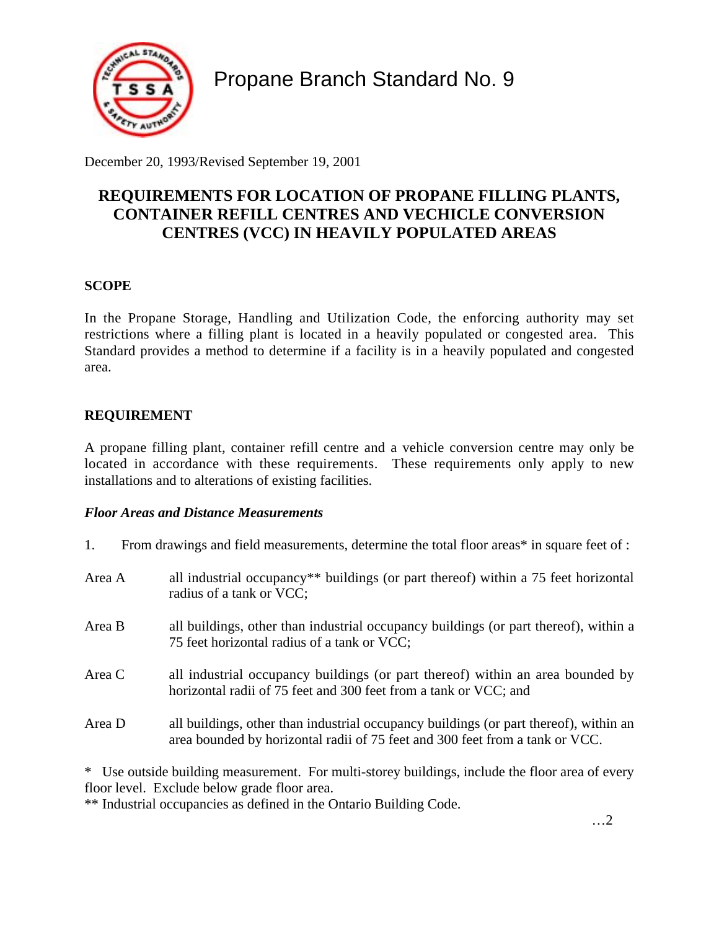

Propane Branch Standard No. 9

December 20, 1993/Revised September 19, 2001

# **REQUIREMENTS FOR LOCATION OF PROPANE FILLING PLANTS, CONTAINER REFILL CENTRES AND VECHICLE CONVERSION CENTRES (VCC) IN HEAVILY POPULATED AREAS**

# **SCOPE**

In the Propane Storage, Handling and Utilization Code, the enforcing authority may set restrictions where a filling plant is located in a heavily populated or congested area. This Standard provides a method to determine if a facility is in a heavily populated and congested area.

## **REQUIREMENT**

A propane filling plant, container refill centre and a vehicle conversion centre may only be located in accordance with these requirements. These requirements only apply to new installations and to alterations of existing facilities.

## *Floor Areas and Distance Measurements*

1. From drawings and field measurements, determine the total floor areas\* in square feet of :

| Area A | all industrial occupancy <sup>**</sup> buildings (or part thereof) within a 75 feet horizontal<br>radius of a tank or VCC;                                            |
|--------|-----------------------------------------------------------------------------------------------------------------------------------------------------------------------|
| Area B | all buildings, other than industrial occupancy buildings (or part thereof), within a<br>75 feet horizontal radius of a tank or VCC;                                   |
| Area C | all industrial occupancy buildings (or part thereof) within an area bounded by<br>horizontal radii of 75 feet and 300 feet from a tank or VCC; and                    |
| Area D | all buildings, other than industrial occupancy buildings (or part thereof), within an<br>area bounded by horizontal radii of 75 feet and 300 feet from a tank or VCC. |

\* Use outside building measurement. For multi-storey buildings, include the floor area of every floor level. Exclude below grade floor area.

\*\* Industrial occupancies as defined in the Ontario Building Code.